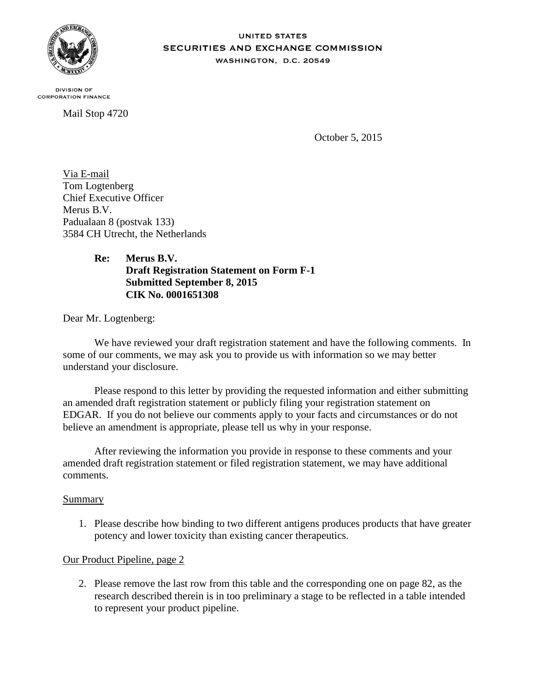

**UNITED STATES** SECURITIES AND EXCHANGE COMMISSION WASHINGTON, D.C. 20549

**DIVISION OF CORPORATION FINANCE** 

Mail Stop 4720

October 5, 2015

Via E-mail Tom Logtenberg Chief Executive Officer Merus B.V. Padualaan 8 (postvak 133) 3584 CH Utrecht, the Netherlands

# **Re: Merus B.V. Draft Registration Statement on Form F-1 Submitted September 8, 2015 CIK No. 0001651308**

Dear Mr. Logtenberg:

We have reviewed your draft registration statement and have the following comments. In some of our comments, we may ask you to provide us with information so we may better understand your disclosure.

Please respond to this letter by providing the requested information and either submitting an amended draft registration statement or publicly filing your registration statement on EDGAR. If you do not believe our comments apply to your facts and circumstances or do not believe an amendment is appropriate, please tell us why in your response.

After reviewing the information you provide in response to these comments and your amended draft registration statement or filed registration statement, we may have additional comments.

#### Summary

1. Please describe how binding to two different antigens produces products that have greater potency and lower toxicity than existing cancer therapeutics.

# Our Product Pipeline, page 2

2. Please remove the last row from this table and the corresponding one on page 82, as the research described therein is in too preliminary a stage to be reflected in a table intended to represent your product pipeline.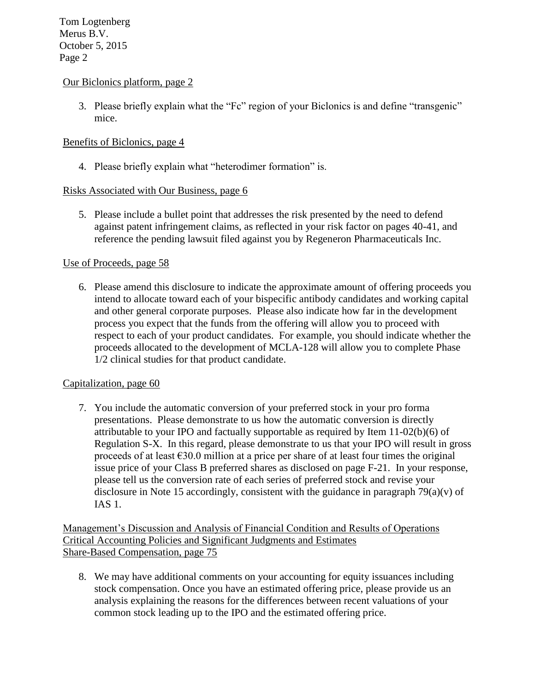### Our Biclonics platform, page 2

3. Please briefly explain what the "Fc" region of your Biclonics is and define "transgenic" mice.

# Benefits of Biclonics, page 4

4. Please briefly explain what "heterodimer formation" is.

### Risks Associated with Our Business, page 6

5. Please include a bullet point that addresses the risk presented by the need to defend against patent infringement claims, as reflected in your risk factor on pages 40-41, and reference the pending lawsuit filed against you by Regeneron Pharmaceuticals Inc.

### Use of Proceeds, page 58

6. Please amend this disclosure to indicate the approximate amount of offering proceeds you intend to allocate toward each of your bispecific antibody candidates and working capital and other general corporate purposes. Please also indicate how far in the development process you expect that the funds from the offering will allow you to proceed with respect to each of your product candidates. For example, you should indicate whether the proceeds allocated to the development of MCLA-128 will allow you to complete Phase 1/2 clinical studies for that product candidate.

#### Capitalization, page 60

7. You include the automatic conversion of your preferred stock in your pro forma presentations. Please demonstrate to us how the automatic conversion is directly attributable to your IPO and factually supportable as required by Item 11-02(b)(6) of Regulation S-X. In this regard, please demonstrate to us that your IPO will result in gross proceeds of at least  $\epsilon$ 30.0 million at a price per share of at least four times the original issue price of your Class B preferred shares as disclosed on page F-21. In your response, please tell us the conversion rate of each series of preferred stock and revise your disclosure in Note 15 accordingly, consistent with the guidance in paragraph  $79(a)(v)$  of IAS 1.

Management's Discussion and Analysis of Financial Condition and Results of Operations Critical Accounting Policies and Significant Judgments and Estimates Share-Based Compensation, page 75

8. We may have additional comments on your accounting for equity issuances including stock compensation. Once you have an estimated offering price, please provide us an analysis explaining the reasons for the differences between recent valuations of your common stock leading up to the IPO and the estimated offering price.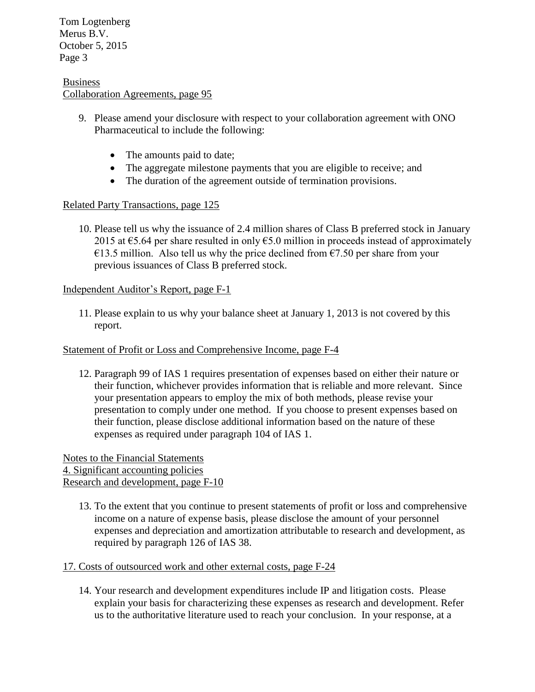Tom Logtenberg Merus B.V. October 5, 2015 Page 3

#### Business Collaboration Agreements, page 95

- 9. Please amend your disclosure with respect to your collaboration agreement with ONO Pharmaceutical to include the following:
	- The amounts paid to date;
	- The aggregate milestone payments that you are eligible to receive; and
	- The duration of the agreement outside of termination provisions.

### Related Party Transactions, page 125

10. Please tell us why the issuance of 2.4 million shares of Class B preferred stock in January 2015 at  $\epsilon$ 5.64 per share resulted in only  $\epsilon$ 5.0 million in proceeds instead of approximately €13.5 million. Also tell us why the price declined from  $€7.50$  per share from your previous issuances of Class B preferred stock.

#### Independent Auditor's Report, page F-1

11. Please explain to us why your balance sheet at January 1, 2013 is not covered by this report.

#### Statement of Profit or Loss and Comprehensive Income, page F-4

12. Paragraph 99 of IAS 1 requires presentation of expenses based on either their nature or their function, whichever provides information that is reliable and more relevant. Since your presentation appears to employ the mix of both methods, please revise your presentation to comply under one method. If you choose to present expenses based on their function, please disclose additional information based on the nature of these expenses as required under paragraph 104 of IAS 1.

Notes to the Financial Statements 4. Significant accounting policies Research and development, page F-10

13. To the extent that you continue to present statements of profit or loss and comprehensive income on a nature of expense basis, please disclose the amount of your personnel expenses and depreciation and amortization attributable to research and development, as required by paragraph 126 of IAS 38.

# 17. Costs of outsourced work and other external costs, page F-24

14. Your research and development expenditures include IP and litigation costs. Please explain your basis for characterizing these expenses as research and development. Refer us to the authoritative literature used to reach your conclusion. In your response, at a